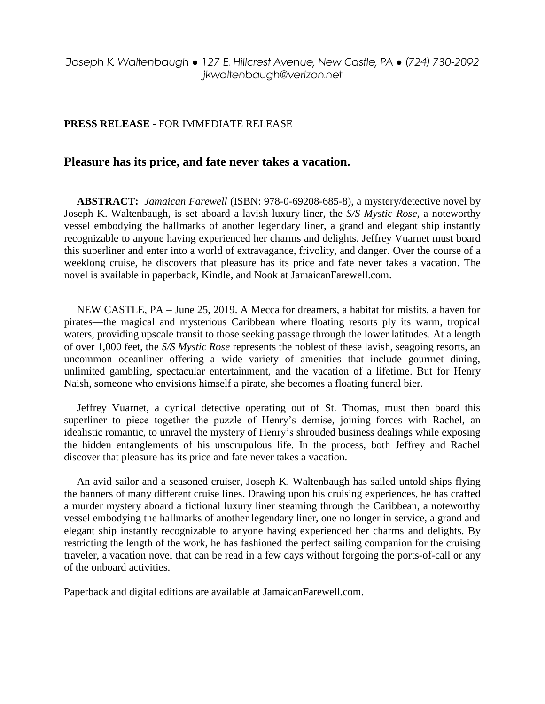## *Joseph K. Waltenbaugh* ● *127 E. Hillcrest Avenue, New Castle, PA* ● *(724) 730-2092 jkwaltenbaugh@verizon.net*

## **PRESS RELEASE** - FOR IMMEDIATE RELEASE

## **Pleasure has its price, and fate never takes a vacation.**

**ABSTRACT:** *Jamaican Farewell* (ISBN: 978-0-69208-685-8), a mystery/detective novel by Joseph K. Waltenbaugh, is set aboard a lavish luxury liner, the *S/S Mystic Rose*, a noteworthy vessel embodying the hallmarks of another legendary liner, a grand and elegant ship instantly recognizable to anyone having experienced her charms and delights. Jeffrey Vuarnet must board this superliner and enter into a world of extravagance, frivolity, and danger. Over the course of a weeklong cruise, he discovers that pleasure has its price and fate never takes a vacation. The novel is available in paperback, Kindle, and Nook at JamaicanFarewell.com.

NEW CASTLE, PA – June 25, 2019. A Mecca for dreamers, a habitat for misfits, a haven for pirates—the magical and mysterious Caribbean where floating resorts ply its warm, tropical waters, providing upscale transit to those seeking passage through the lower latitudes. At a length of over 1,000 feet, the *S/S Mystic Rose* represents the noblest of these lavish, seagoing resorts, an uncommon oceanliner offering a wide variety of amenities that include gourmet dining, unlimited gambling, spectacular entertainment, and the vacation of a lifetime. But for Henry Naish, someone who envisions himself a pirate, she becomes a floating funeral bier.

Jeffrey Vuarnet, a cynical detective operating out of St. Thomas, must then board this superliner to piece together the puzzle of Henry's demise, joining forces with Rachel, an idealistic romantic, to unravel the mystery of Henry's shrouded business dealings while exposing the hidden entanglements of his unscrupulous life. In the process, both Jeffrey and Rachel discover that pleasure has its price and fate never takes a vacation.

An avid sailor and a seasoned cruiser, Joseph K. Waltenbaugh has sailed untold ships flying the banners of many different cruise lines. Drawing upon his cruising experiences, he has crafted a murder mystery aboard a fictional luxury liner steaming through the Caribbean, a noteworthy vessel embodying the hallmarks of another legendary liner, one no longer in service, a grand and elegant ship instantly recognizable to anyone having experienced her charms and delights. By restricting the length of the work, he has fashioned the perfect sailing companion for the cruising traveler, a vacation novel that can be read in a few days without forgoing the ports-of-call or any of the onboard activities.

Paperback and digital editions are available at JamaicanFarewell.com.